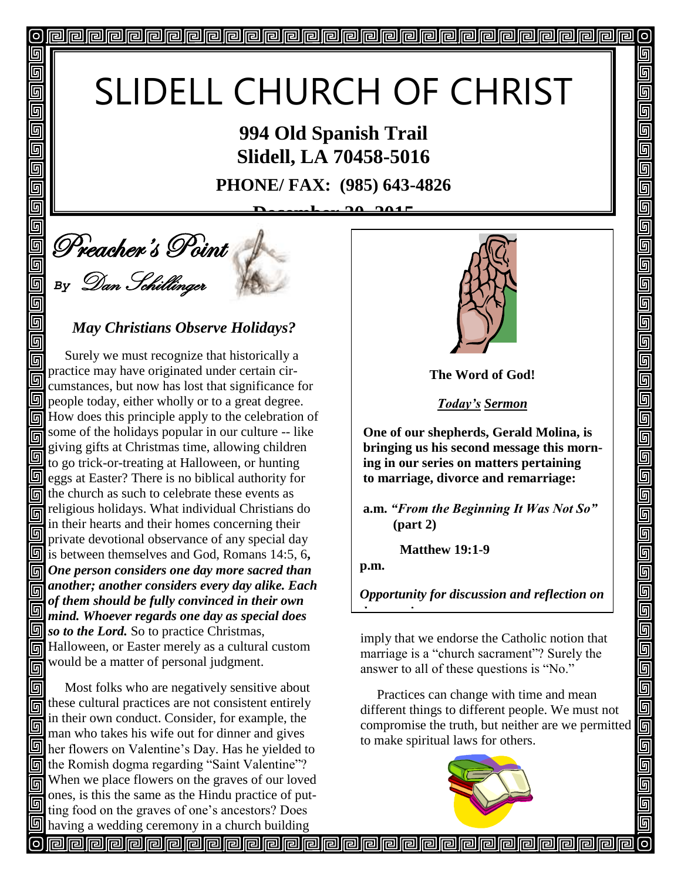# SLIDELL CHURCH OF CHRIST

**994 Old Spanish Trail Slidell, LA 70458-5016**

**PHONE/ FAX: (985) 643-4826**

**Dec** 2015

an<br>Allen Corpor is Point *By* Dan Schillinger

**o** 

回

回 回 同 回 回 回 回 回

回 5 回 回

回

同

#### *May Christians Observe Holidays?*

 Surely we must recognize that historically a 同 practice may have originated under certain cir-回 cumstances, but now has lost that significance for  $\Box$  people today, either wholly or to a great degree. How does this principle apply to the celebration of some of the holidays popular in our culture -- like 同 giving gifts at Christmas time, allowing children 回 to go trick-or-treating at Halloween, or hunting  $\Box$  eggs at Easter? There is no biblical authority for  $\overline{m}$  the church as such to celebrate these events as religious holidays. What individual Christians do 同 in their hearts and their homes concerning their 回 private devotional observance of any special day is between themselves and God, Romans 14:5, 6**,**  *One person considers one day more sacred than another; another considers every day alike. Each of them should be fully convinced in their own*  回 *mind. Whoever regards one day as special does so to the Lord.* So to practice Christmas, Fill Halloween, or Easter merely as a cultural custom would be a matter of personal judgment. 同

同 Most folks who are negatively sensitive about  $\overline{\overline{\mathbb{F}}}$  these cultural practices are not consistent entirely in their own conduct. Consider, for example, the man who takes his wife out for dinner and gives **I** her flowers on Valentine's Day. Has he yielded to the Romish dogma regarding "Saint Valentine"? When we place flowers on the graves of our loved 同 ones, is this the same as the Hindu practice of putting food on the graves of one's ancestors? Does having a wedding ceremony in a church building



O

回

5 5

<u>可</u>  $\overline{\mathbb{G}}$ 可

回

回

回

回回

 $\blacksquare$  $\overline{\mathbb{D}}$ 

 $\overline{\mathsf{q}}$ 

<u>s 6 d</u>

5

 $\overline{\mathbb{F}}$ 

呵

**The Word of God!**

*Today's Sermon*

**One of our shepherds, Gerald Molina, is bringing us his second message this morning in our series on matters pertaining to marriage, divorce and remarriage:** 

**a.m.** *"From the Beginning It Was Not So"* **(part 2)**

 **Matthew 19:1-9**

*the morning sermon.* 

**p.m.**

*Opportunity for discussion and reflection on* 

imply that we endorse the Catholic notion that marriage is a "church sacrament"? Surely the answer to all of these questions is "No."

 Practices can change with time and mean different things to different people. We must not compromise the truth, but neither are we permitted to make spiritual laws for others.

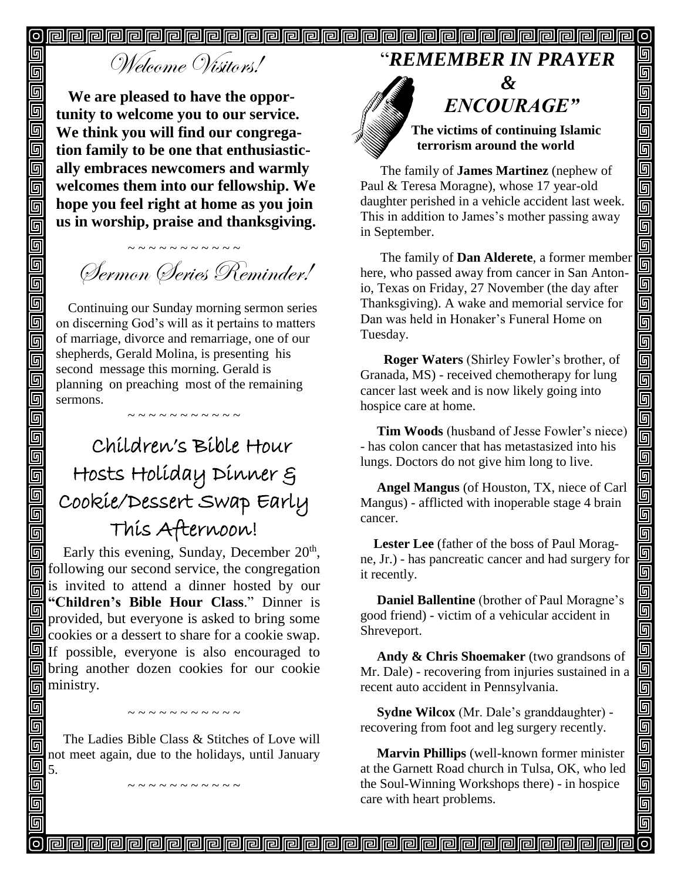$\boldsymbol{\mathsf{[o]}}$  $\overline{\mathsf{O}}$ 

**PPPPPPPPPPPPPPPPPPPP** 

## Welcome Wisitors!

回

回

回 回

回

画

靣 回

靣 回  $\Box$ 回

回  $\overline{\mathbb{D}}$ 

 $\overline{\overline{\mathbb{G}}}$ 靣 面 回 回 回 回 回  $\overline{\mathbb{G}}$ 

u<br>U

 $\overline{\mathbb{G}}$ 同

同

回

回

回 回

回 回

**We are pleased to have the opportunity to welcome you to our service. We think you will find our congregation family to be one that enthusiastically embraces newcomers and warmly welcomes them into our fellowship. We hope you feel right at home as you join us in worship, praise and thanksgiving.**

Sermon Series Reminder!

Continuing our Sunday morning sermon series on discerning God's will as it pertains to matters of marriage, divorce and remarriage, one of our shepherds, Gerald Molina, is presenting his second message this morning. Gerald is planning on preaching most of the remaining sermons.

### Children's Bible Hour Hosts Holiday Dinner & Cookie/Dessert Swap Early This Afternoon!

Early this evening, Sunday, December 20<sup>th</sup>, following our second service, the congregation 同 is invited to attend a dinner hosted by our **"Children's Bible Hour Class**." Dinner is 同 provided, but everyone is asked to bring some cookies or a dessert to share for a cookie swap.  $\boxed{\blacksquare}$  If possible, everyone is also encouraged to **Follo** bring another dozen cookies for our cookie ministry.

The Ladies Bible Class & Stitches of Love will not meet again, due to the holidays, until January 5.

#### "*REMEMBER IN PRAYER*



 **The victims of continuing Islamic terrorism around the world**

" *ENCOURAGE"*

回

回

回

回

<u>alai</u>

900000

回

واواواواواواواواواواواواواواواواوا

 $\overline{\blacksquare}$ 

<u>ia al</u>

 $\overline{\mathbb{D}}$ 

<u>ele</u>

<u>s s s</u>

回

The family of **James Martinez** (nephew of Paul & Teresa Moragne), whose 17 year-old daughter perished in a vehicle accident last week. This in addition to James's mother passing away in September.

 The family of **Dan Alderete**, a former member here, who passed away from cancer in San Antonio, Texas on Friday, 27 November (the day after Thanksgiving). A wake and memorial service for Dan was held in Honaker's Funeral Home on Tuesday.

 **Roger Waters** (Shirley Fowler's brother, of Granada, MS) - received chemotherapy for lung cancer last week and is now likely going into hospice care at home.

 **Tim Woods** (husband of Jesse Fowler's niece) - has colon cancer that has metastasized into his lungs. Doctors do not give him long to live.

 **Angel Mangus** (of Houston, TX, niece of Carl Mangus) - afflicted with inoperable stage 4 brain cancer.

 **Lester Lee** (father of the boss of Paul Moragne, Jr.) - has pancreatic cancer and had surgery for it recently.

 **Daniel Ballentine** (brother of Paul Moragne's good friend) - victim of a vehicular accident in Shreveport.

 **Andy & Chris Shoemaker** (two grandsons of Mr. Dale) - recovering from injuries sustained in a recent auto accident in Pennsylvania.

 **Sydne Wilcox** (Mr. Dale's granddaughter) recovering from foot and leg surgery recently.

 **Marvin Phillips** (well-known former minister at the Garnett Road church in Tulsa, OK, who led the Soul-Winning Workshops there) - in hospice care with heart problems.

~ ~ ~ ~ ~ ~ ~ ~ ~ ~  $\sim$  ~ ~ ~ ~ ~ ~ ~ ~ ~ ~ ~ ~ ~ ~ ~ ~ ~ ~ ~ ~ ~ ~ ~ ~ ~ ~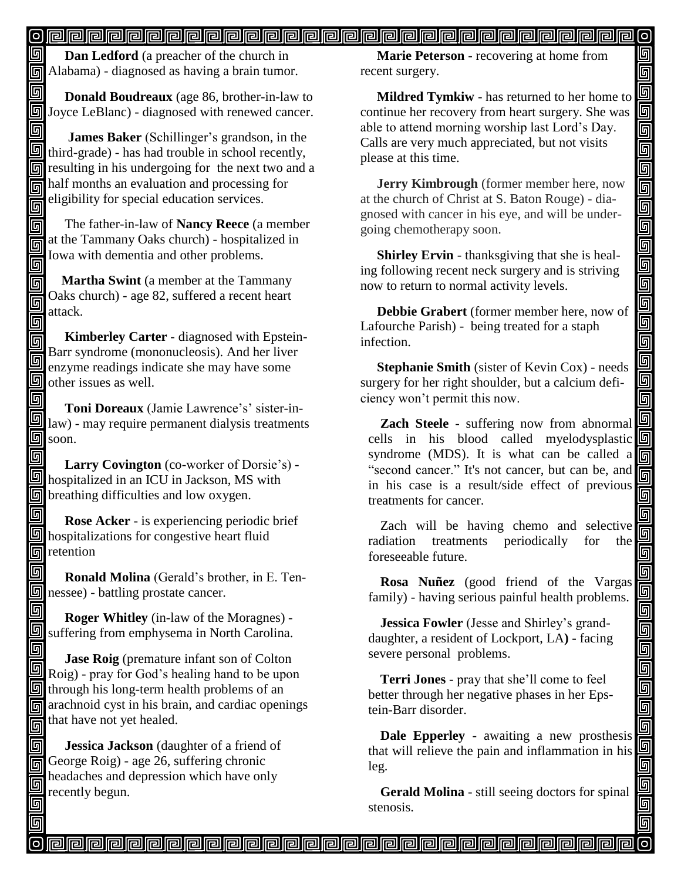#### 

圆 **Dan Ledford** (a preacher of the church in Alabama) - diagnosed as having a brain tumor.

回  **Donald Boudreaux** (age 86, brother-in-law to **Joyce LeBlanc)** - diagnosed with renewed cancer.

同  **James Baker** (Schillinger's grandson, in the  $\overline{\mathbb{S}}$  third-grade) - has had trouble in school recently, **n** resulting in his undergoing for the next two and a half months an evaluation and processing for eligibility for special education services. 同

 The father-in-law of **Nancy Reece** (a member 回 at the Tammany Oaks church) - hospitalized in 同 Iowa with dementia and other problems. 同

 **Martha Swint** (a member at the Tammany 同 Oaks church) - age 82, suffered a recent heart 回 attack. 回

 **Kimberley Carter** - diagnosed with Epstein-同 Barr syndrome (mononucleosis). And her liver En Barr syndrome consumers a state share some<br>enzyme readings indicate she may have some  $\overline{\mathbb{S}}$  other issues as well.

同  **Toni Doreaux** (Jamie Lawrence's' sister-in- $\Box$  law) - may require permanent dialysis treatments  $\textcolor{red}{\blacksquare}\textcolor{red}{\blacksquare}$ soon.

回  **Larry Covington** (co-worker of Dorsie's) hospitalized in an ICU in Jackson, MS with **<u>on</u>** breathing difficulties and low oxygen.

回  **Rose Acker** - is experiencing periodic brief hospitalizations for congestive heart fluid  $\overline{\mathbb{F}}$  retention

同

回

回

 **Ronald Molina** (Gerald's brother, in E. Ten**n** nessee) - battling prostate cancer.

回  **Roger Whitley** (in-law of the Moragnes) suffering from emphysema in North Carolina.

回 **Jase Roig** (premature infant son of Colton **Roig)** - pray for God's healing hand to be upon  $\overline{\mathbb{S}}$  through his long-term health problems of an  $\overline{m}$  arachnoid cyst in his brain, and cardiac openings  $\overrightarrow{m}$  that have not yet healed.

 **Jessica Jackson** (daughter of a friend of George Roig) - age 26, suffering chronic headaches and depression which have only meadachers.

 **Marie Peterson** - recovering at home from recent surgery.

 $\overline{\mathsf{O}}$ 

回 回 回

靣 画

واواواواواواواواواواواواوا

iolo<br>Die

画 回

Ō 回

回  $\blacksquare$ 

90

<u> g g g</u>

elelele

00000

 **Mildred Tymkiw** - has returned to her home to continue her recovery from heart surgery. She was able to attend morning worship last Lord's Day. Calls are very much appreciated, but not visits please at this time.

 **Jerry Kimbrough** (former member here, now at the church of Christ at S. Baton Rouge) - diagnosed with cancer in his eye, and will be undergoing chemotherapy soon. Î

 **Shirley Ervin** - thanksgiving that she is healing following recent neck surgery and is striving now to return to normal activity levels.

 **Debbie Grabert** (former member here, now of Lafourche Parish) - being treated for a staph infection.

 **Stephanie Smith** (sister of Kevin Cox) - needs surgery for her right shoulder, but a calcium deficiency won't permit this now.

**Zach Steele** - suffering now from abnormal cells in his blood called myelodysplastic syndrome (MDS). It is what can be called a "second cancer." It's not cancer, but can be, and in his case is a result/side effect of previous treatments for cancer.

Zach will be having chemo and selective radiation treatments periodically for the foreseeable future.

**Rosa Nuñez** (good friend of the Vargas family) - having serious painful health problems.

**Jessica Fowler** (Jesse and Shirley's granddaughter, a resident of Lockport, LA**) -** facing severe personal problems.

**Terri Jones** - pray that she'll come to feel better through her negative phases in her Epstein-Barr disorder.

**Dale Epperley** - awaiting a new prosthesis that will relieve the pain and inflammation in his leg.

**Gerald Molina** - still seeing doctors for spinal stenosis.